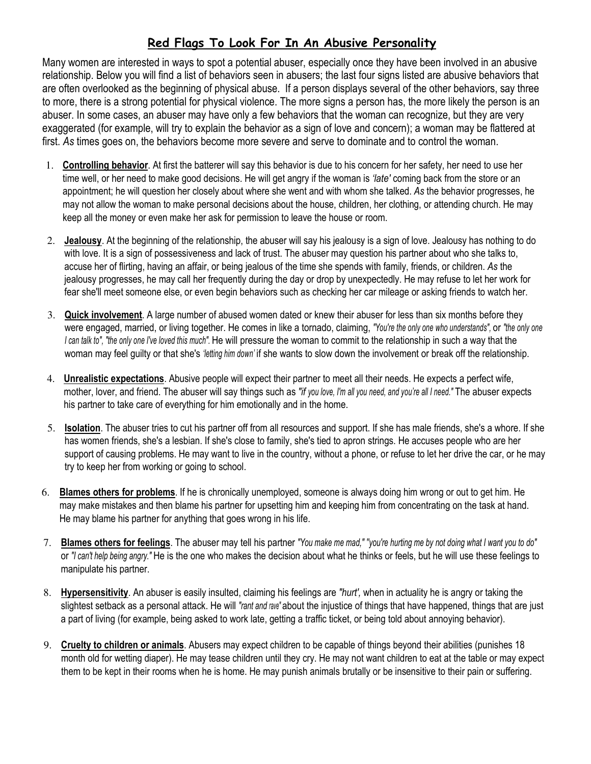## Red Flags To Look For In An Abusive Personality

Many women are interested in ways to spot a potential abuser, especially once they have been involved in an abusive relationship. Below you will find a list of behaviors seen in abusers; the last four signs listed are abusive behaviors that are often overlooked as the beginning of physical abuse. If a person displays several of the other behaviors, say three to more, there is a strong potential for physical violence. The more signs a person has, the more likely the person is an abuser. In some cases, an abuser may have only a few behaviors that the woman can recognize, but they are very exaggerated (for example, will try to explain the behavior as a sign of love and concern); a woman may be flattered at first. As times goes on, the behaviors become more severe and serve to dominate and to control the woman.

- 1. Controlling behavior. At first the batterer will say this behavior is due to his concern for her safety, her need to use her time well, or her need to make good decisions. He will get angry if the woman is 'late' coming back from the store or an appointment; he will question her closely about where she went and with whom she talked. As the behavior progresses, he may not allow the woman to make personal decisions about the house, children, her clothing, or attending church. He may keep all the money or even make her ask for permission to leave the house or room.
- 2. Jealousy. At the beginning of the relationship, the abuser will say his jealousy is a sign of love. Jealousy has nothing to do with love. It is a sign of possessiveness and lack of trust. The abuser may question his partner about who she talks to, accuse her of flirting, having an affair, or being jealous of the time she spends with family, friends, or children. As the jealousy progresses, he may call her frequently during the day or drop by unexpectedly. He may refuse to let her work for fear she'll meet someone else, or even begin behaviors such as checking her car mileage or asking friends to watch her.
- 3. Quick involvement. A large number of abused women dated or knew their abuser for less than six months before they were engaged, married, or living together. He comes in like a tornado, claiming, "You're the only one who understands", or "the only one I can talk to", "the only one I've loved this much". He will pressure the woman to commit to the relationship in such a way that the woman may feel quilty or that she's 'letting him down' if she wants to slow down the involvement or break off the relationship.
- 4. Unrealistic expectations. Abusive people will expect their partner to meet all their needs. He expects a perfect wife, mother, lover, and friend. The abuser will say things such as "if you love, I'm all you need, and you're all I need." The abuser expects his partner to take care of everything for him emotionally and in the home.
- 5. Isolation. The abuser tries to cut his partner off from all resources and support. If she has male friends, she's a whore. If she has women friends, she's a lesbian. If she's close to family, she's tied to apron strings. He accuses people who are her support of causing problems. He may want to live in the country, without a phone, or refuse to let her drive the car, or he may try to keep her from working or going to school.
- 6. Blames others for problems. If he is chronically unemployed, someone is always doing him wrong or out to get him. He may make mistakes and then blame his partner for upsetting him and keeping him from concentrating on the task at hand. He may blame his partner for anything that goes wrong in his life.
- 7. Blames others for feelings. The abuser may tell his partner "You make me mad," "you're hurting me by not doing what I want you to do" or "I can't help being angry." He is the one who makes the decision about what he thinks or feels, but he will use these feelings to manipulate his partner.
- 8. Hypersensitivity. An abuser is easily insulted, claiming his feelings are "hurt', when in actuality he is angry or taking the slightest setback as a personal attack. He will "rant and rave" about the injustice of things that have happened, things that are just a part of living (for example, being asked to work late, getting a traffic ticket, or being told about annoying behavior).
- 9. Cruelty to children or animals. Abusers may expect children to be capable of things beyond their abilities (punishes 18 month old for wetting diaper). He may tease children until they cry. He may not want children to eat at the table or may expect them to be kept in their rooms when he is home. He may punish animals brutally or be insensitive to their pain or suffering.